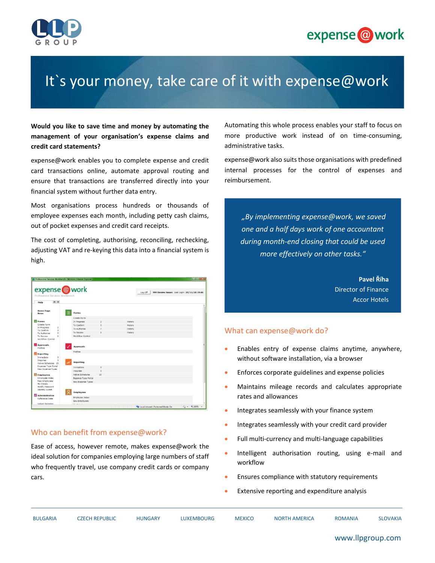



# It's your money, take care of it with expense@work

**Would you like to save time and money by automating the management of your organisation's expense claims and credit card statements?** 

expense@work enables you to complete expense and credit card transactions online, automate approval routing and ensure that transactions are transferred directly into your financial system without further data entry.

Most organisations process hundreds or thousands of employee expenses each month, including petty cash claims, out of pocket expenses and credit card receipts.

The cost of completing, authorising, reconciling, rechecking, adjusting VAT and re-keying this data into a financial system is high.

| expense@work<br>Professional Services Workbench                               |                         |                          |         | Log Off                                | 999 Davies Susan Last Login: 28/11/10 19:46 |
|-------------------------------------------------------------------------------|-------------------------|--------------------------|---------|----------------------------------------|---------------------------------------------|
| $\lambda$ v<br>Help                                                           |                         |                          |         |                                        |                                             |
| <b>Home Page</b><br><b>News</b>                                               | <b>Forms</b>            |                          |         |                                        |                                             |
|                                                                               | Create Form             |                          |         |                                        |                                             |
| <b>Forms</b>                                                                  | In Progress             |                          | History |                                        |                                             |
| Create Form                                                                   | To Confirm              |                          | History |                                        |                                             |
| In Progress<br>$\overline{z}$<br>$\overline{a}$<br>To Confirm                 | To Authorise            |                          | History |                                        |                                             |
| $\overline{z}$<br>To Authorise                                                | To Review               |                          | History |                                        |                                             |
| $\alpha$<br>To Review<br>Workflow Control                                     | Workflow Control        |                          |         |                                        |                                             |
| Approvals<br>Profiles                                                         | <b>Approvals</b>        |                          |         |                                        |                                             |
| <b>Reporting</b>                                                              | <b>Profiles</b>         |                          |         |                                        |                                             |
| Immediate<br>3<br>$\overline{\mathbf{3}}$<br>Inquiries<br>Active Schedules 15 | Reporting               |                          |         |                                        |                                             |
| Expense Type Portal                                                           | Immadiate               | 3                        |         |                                        |                                             |
| New Expense Types                                                             | Inquiries               | $\overline{\phantom{a}}$ |         |                                        |                                             |
| Employees<br>JО.                                                              | <b>Active Schedules</b> | 15                       |         |                                        |                                             |
| Employee Index                                                                | Expense Type Portal     |                          |         |                                        |                                             |
| New Employees                                                                 | New Expense Types       |                          |         |                                        |                                             |
| My Details<br><b>Hodify Password</b><br>Identity Switch                       | Employees               |                          |         |                                        |                                             |
| <b>Administration</b>                                                         |                         |                          |         |                                        |                                             |
| Reference Data                                                                | Employee Index          |                          |         |                                        |                                             |
|                                                                               | New Employees           |                          |         |                                        |                                             |
| Linked Websites                                                               |                         |                          |         | Ru Local intranet   Protected Mode: On | $\sqrt{a} = \frac{100\%}{200\%}$            |

## Who can benefit from expense@work?

Ease of access, however remote, makes expense@work the ideal solution for companies employing large numbers of staff who frequently travel, use company credit cards or company cars.

Automating this whole process enables your staff to focus on more productive work instead of on time-consuming, administrative tasks.

expense@work also suits those organisations with predefined internal processes for the control of expenses and reimbursement.

*"By implementing expense@work, we saved one and a half days work of one accountant during month-end closing that could be used more effectively on other tasks."*

> **Pavel Říha** Director of Finance Accor Hotels

### What can expense@work do?

- Enables entry of expense claims anytime, anywhere, without software installation, via a browser
- Enforces corporate guidelines and expense policies
- Maintains mileage records and calculates appropriate rates and allowances
- Integrates seamlessly with your finance system
- Integrates seamlessly with your credit card provider
- Full multi-currency and multi-language capabilities
- Intelligent authorisation routing, using e-mail and workflow
- Ensures compliance with statutory requirements
- Extensive reporting and expenditure analysis

| BULGARIA |
|----------|
|          |

#### www.llpgroup.com